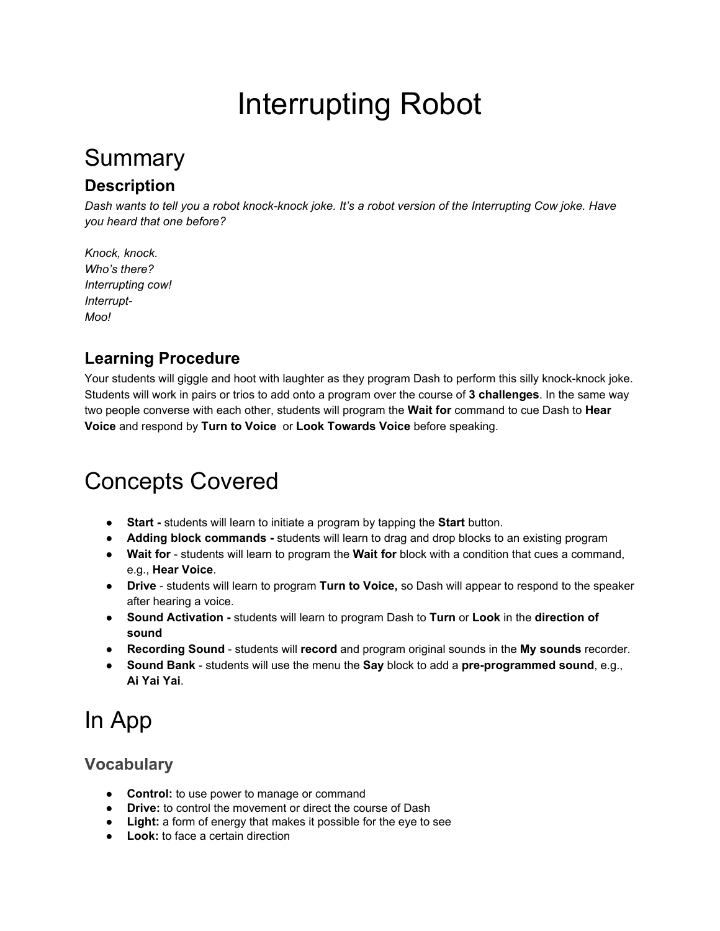# Interrupting Robot

## Summary

### **Description**

*Dash wants to tell you a robot knockknock joke. It's a robot version of the Interrupting Cow joke. Have you heard that one before?*

*Knock, knock. Who's there? Interrupting cow! Interrupt-Moo!*

### **Learning Procedure**

Your students will giggle and hoot with laughter as they program Dash to perform this silly knock-knock joke. Students will work in pairs or trios to add onto a program over the course of **3 challenges**. In the same way two people converse with each other, students will program the **Wait for** command to cue Dash to **Hear Voice** and respond by **Turn to Voice** or **Look Towards Voice** before speaking.

## Concepts Covered

- **Start students will learn to initiate a program by tapping the Start button.**
- **Adding block commands** students will learn to drag and drop blocks to an existing program
- **Wait for** students will learn to program the **Wait for** block with a condition that cues a command, e.g., **Hear Voice**.
- **Drive** students will learn to program **Turn to Voice**, so Dash will appear to respond to the speaker after hearing a voice.
- **Sound Activation**  students will learn to program Dash to **Turn** or **Look** in the **direction of sound**
- **Recording Sound** students will **record** and program original sounds in the My sounds recorder.
- **•** Sound Bank students will use the menu the Say block to add a pre-programmed sound, e.g., **Ai Yai Yai**.

## In App

### **Vocabulary**

- **Control:** to use power to manage or command
- **Drive:** to control the movement or direct the course of Dash
- **Light:** a form of energy that makes it possible for the eye to see
- **Look:** to face a certain direction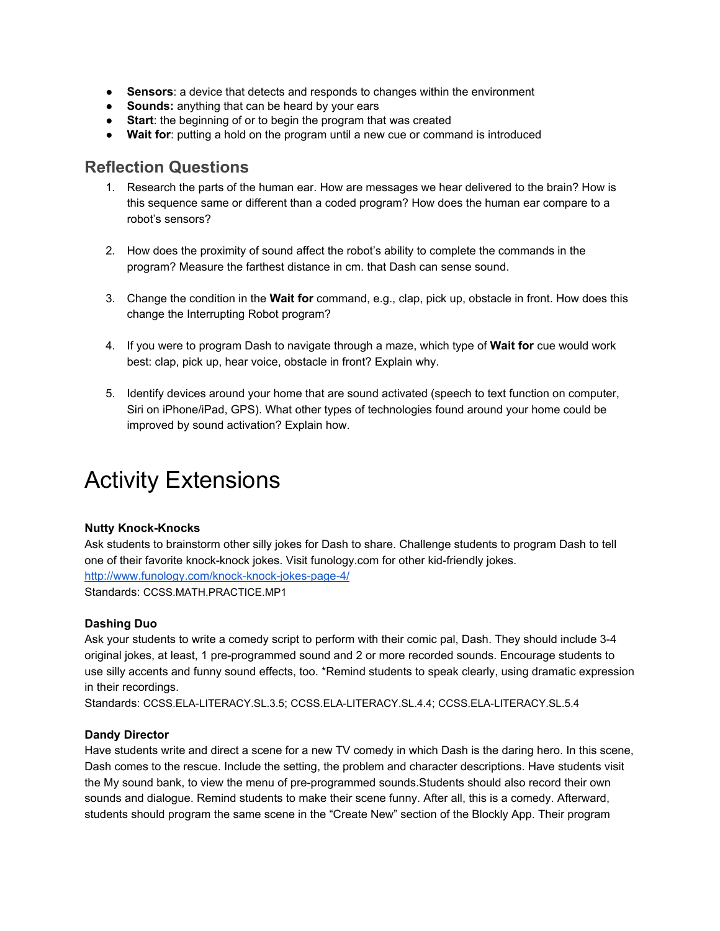- **Sensors**: a device that detects and responds to changes within the environment
- **Sounds:** anything that can be heard by your ears
- **Start**: the beginning of or to begin the program that was created
- **Wait for**: putting a hold on the program until a new cue or command is introduced

### **Reflection Questions**

- 1. Research the parts of the human ear. How are messages we hear delivered to the brain? How is this sequence same or different than a coded program? How does the human ear compare to a robot's sensors?
- 2. How does the proximity of sound affect the robot's ability to complete the commands in the program? Measure the farthest distance in cm. that Dash can sense sound.
- 3. Change the condition in the **Wait for** command, e.g., clap, pick up, obstacle in front. How does this change the Interrupting Robot program?
- 4. If you were to program Dash to navigate through a maze, which type of **Wait for** cue would work best: clap, pick up, hear voice, obstacle in front? Explain why.
- 5. Identify devices around your home that are sound activated (speech to text function on computer, Siri on iPhone/iPad, GPS). What other types of technologies found around your home could be improved by sound activation? Explain how.

## Activity Extensions

#### **Nutty Knock-Knocks**

Ask students to brainstorm other silly jokes for Dash to share. Challenge students to program Dash to tell one of their favorite knock-knock jokes. Visit funology.com for other kid-friendly jokes. http://www.funology.com/knock-knock-jokes-page-4/ Standards: [CCSS.MATH.PRACTICE.MP1](http://www.corestandards.org/Math/Practice/MP1/)

#### **Dashing Duo**

Ask your students to write a comedy script to perform with their comic pal, Dash. They should include 3-4 original jokes, at least, 1 pre-programmed sound and 2 or more recorded sounds. Encourage students to use silly accents and funny sound effects, too. \*Remind students to speak clearly, using dramatic expression in their recordings.

Standards: [CCSS.ELALITERACY.SL.3.5](http://www.corestandards.org/ELA-Literacy/SL/3/5/); [CCSS.ELALITERACY.SL.4.4](http://www.corestandards.org/ELA-Literacy/SL/4/4/); [CCSS.ELALITERACY.SL.5.4](http://www.corestandards.org/ELA-Literacy/SL/5/4/)

#### **Dandy Director**

Have students write and direct a scene for a new TV comedy in which Dash is the daring hero. In this scene, Dash comes to the rescue. Include the setting, the problem and character descriptions. Have students visit the My sound bank, to view the menu of pre-programmed sounds. Students should also record their own sounds and dialogue. Remind students to make their scene funny. After all, this is a comedy. Afterward, students should program the same scene in the "Create New" section of the Blockly App. Their program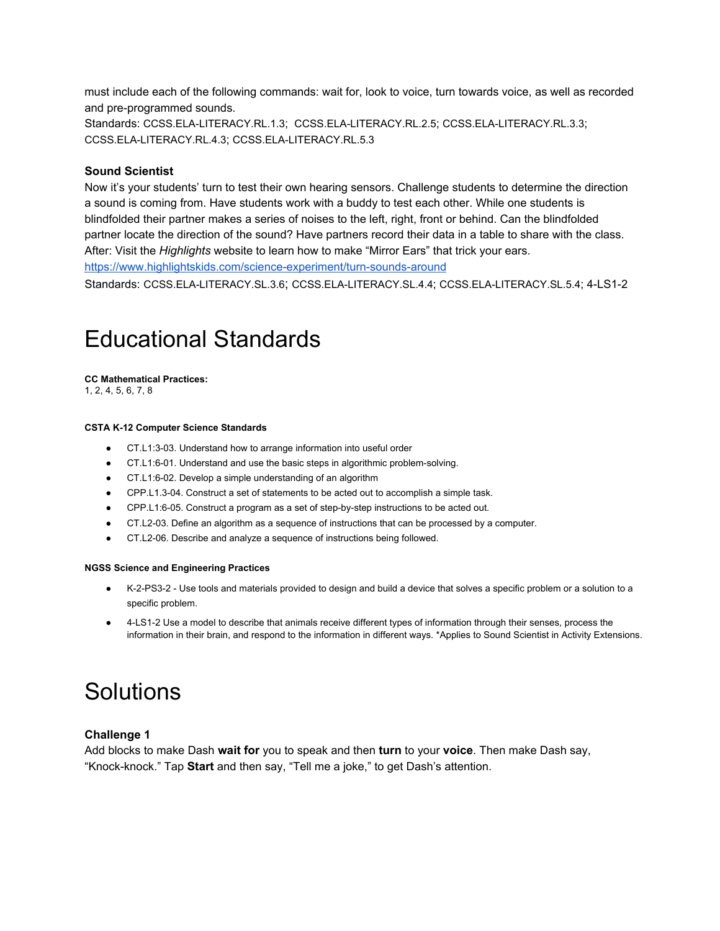must include each of the following commands: wait for, look to voice, turn towards voice, as well as recorded and pre-programmed sounds.

Standards: [CCSS.ELALITERACY.RL.1.3](http://www.corestandards.org/ELA-Literacy/RL/1/3/); [CCSS.ELALITERACY.RL.2.5](http://www.corestandards.org/ELA-Literacy/RL/2/5/); [CCSS.ELALITERACY.RL.3.3](http://www.corestandards.org/ELA-Literacy/RL/3/3/); [CCSS.ELALITERACY.RL.4.3](http://www.corestandards.org/ELA-Literacy/RL/4/3/); [CCSS.ELALITERACY.RL.5.3](http://www.corestandards.org/ELA-Literacy/RL/5/3/)

#### **Sound Scientist**

Now it's your students' turn to test their own hearing sensors. Challenge students to determine the direction a sound is coming from. Have students work with a buddy to test each other. While one students is blindfolded their partner makes a series of noises to the left, right, front or behind. Can the blindfolded partner locate the direction of the sound? Have partners record their data in a table to share with the class. After: Visit the *Highlights* website to learn how to make "Mirror Ears" that trick your ears. https://www.highlightskids.com/science-experiment/turn-sounds-around

Standards: [CCSS.ELALITERACY.SL.3.6](http://www.corestandards.org/ELA-Literacy/SL/3/6/); [CCSS.ELALITERACY.SL.4.4](http://www.corestandards.org/ELA-Literacy/SL/4/4/); [CCSS.ELALITERACY.SL.5.4](http://www.corestandards.org/ELA-Literacy/SL/5/4/); [4LS12](http://www.nextgenscience.org/pe/4-ls1-2-molecules-organisms-structures-and-processes)

### Educational Standards

**CC Mathematical Practices:** [1](http://www.corestandards.org/ELA-Literacy/L/1/5/c/), 2, 4, 5, 6, 7, 8

#### **CSTA K12 Computer Science Standards**

- CT.L1:303. Understand how to arrange information into useful order
- CT.L1:6-01. Understand and use the basic steps in algorithmic problem-solving.
- CT.L1:6-02. Develop a simple understanding of an algorithm
- CPP.L1.3-04. Construct a set of statements to be acted out to accomplish a simple task.
- CPP.L1:6-05. Construct a program as a set of step-by-step instructions to be acted out.
- CT.L203. Define an algorithm as a sequence of instructions that can be processed by a computer.
- CT.L206. Describe and analyze a sequence of instructions being followed.

#### **NGSS Science and Engineering Practices**

- K-2-PS3-2 Use tools and materials provided to design and build a device that solves a specific problem or a solution to a specific problem.
- [4LS12 U](http://www.nextgenscience.org/pe/4-ls1-2-molecules-organisms-structures-and-processes)se a model to describe that animals receive different types of information through their senses, process the information in their brain, and respond to the information in different ways. \*Applies to Sound Scientist in Activity Extensions.

### Solutions

#### **Challenge 1**

Add blocks to make Dash **wait for** you to speak and then **turn** to your **voice**. Then make Dash say, "Knock-knock." Tap **Start** and then say, "Tell me a joke," to get Dash's attention.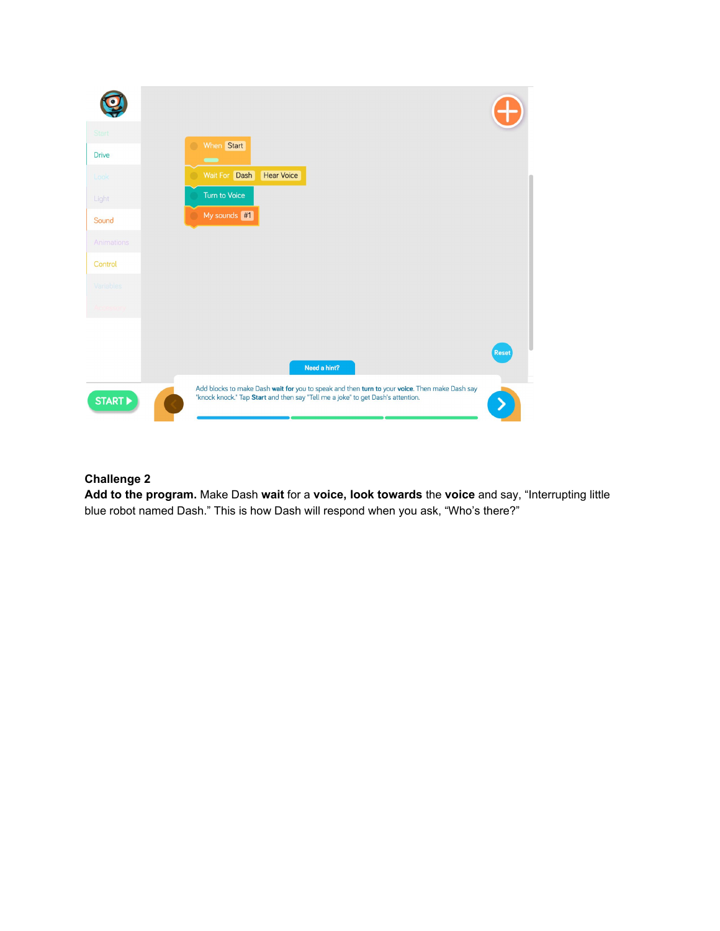

#### **Challenge 2**

**Add to the program.** Make Dash **wait** for a **voice, look towards** the **voice** and say, "Interrupting little blue robot named Dash." This is how Dash will respond when you ask, "Who's there?"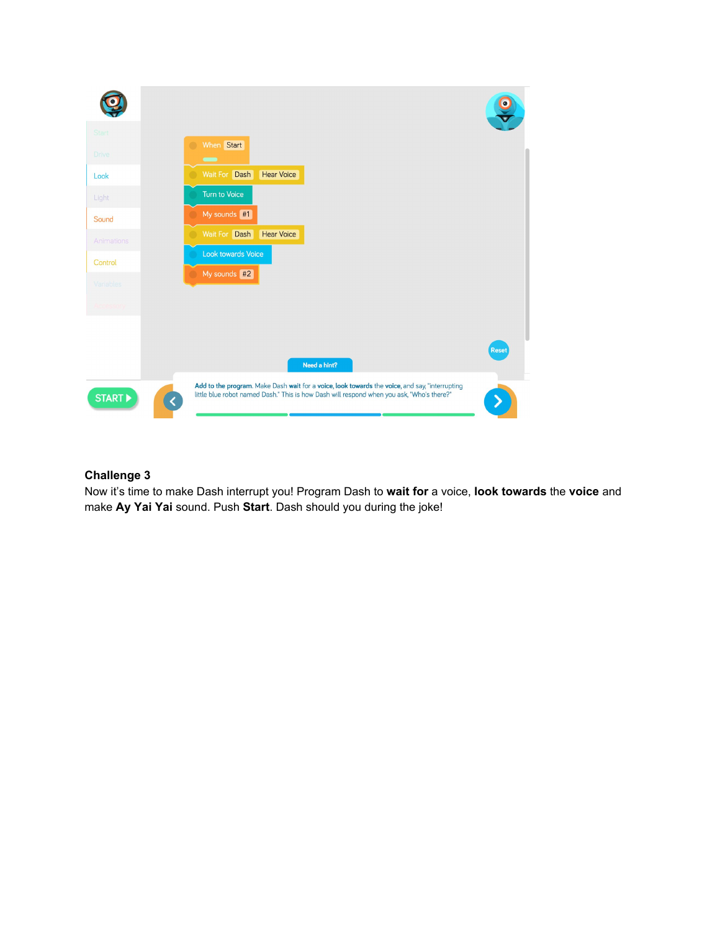

#### **Challenge 3**

Now it's time to make Dash interrupt you! Program Dash to **wait for** a voice, **look towards** the **voice** and make **Ay Yai Yai** sound. Push **Start**. Dash should you during the joke!